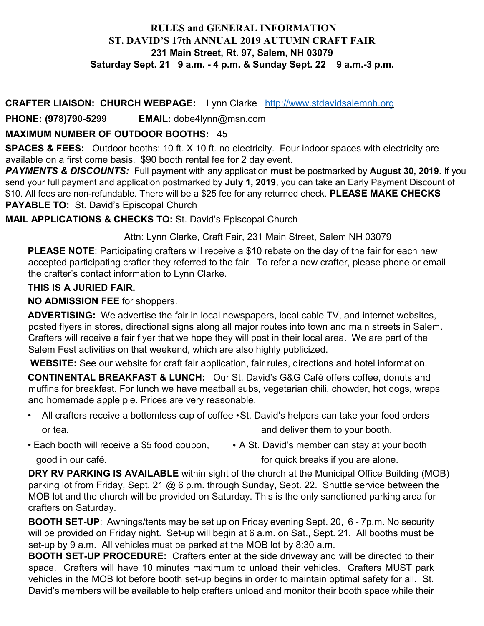#### **RULES and GENERAL INFORMATION ST. DAVID'S 17th ANNUAL 2019 AUTUMN CRAFT FAIR 231 Main Street, Rt. 97, Salem, NH 03079 Saturday Sept. 21 9 a.m. - 4 p.m. & Sunday Sept. 22 9 a.m.-3 p.m.**  $\_$  , and the state of the state of the state of the state of the state of the state of the state of the state of the state of the state of the state of the state of the state of the state of the state of the state of the

#### **CRAFTER LIAISON: CHURCH WEBPAGE:** Lynn Clarke [http://www.stdavidsalemnh.org](http://www.stdavidsalemnh.org/)

**PHONE: (978)790-5299 EMAIL:** dobe4lynn@msn.com

## **MAXIMUM NUMBER OF OUTDOOR BOOTHS:** 45

**SPACES & FEES:** Outdoor booths: 10 ft. X 10 ft. no electricity. Four indoor spaces with electricity are available on a first come basis. \$90 booth rental fee for 2 day event.

*PAYMENTS & DISCOUNTS:* Full payment with any application **must** be postmarked by **August 30, 2019**. If you send your full payment and application postmarked by **July 1, 2019**, you can take an Early Payment Discount of \$10. All fees are non-refundable. There will be a \$25 fee for any returned check. **PLEASE MAKE CHECKS PAYABLE TO:** St. David's Episcopal Church

**MAIL APPLICATIONS & CHECKS TO:** St. David's Episcopal Church

Attn: Lynn Clarke, Craft Fair, 231 Main Street, Salem NH 03079

**PLEASE NOTE**: Participating crafters will receive a \$10 rebate on the day of the fair for each new accepted participating crafter they referred to the fair. To refer a new crafter, please phone or email the crafter's contact information to Lynn Clarke.

## **THIS IS A JURIED FAIR.**

## **NO ADMISSION FEE** for shoppers.

**ADVERTISING:** We advertise the fair in local newspapers, local cable TV, and internet websites, posted flyers in stores, directional signs along all major routes into town and main streets in Salem. Crafters will receive a fair flyer that we hope they will post in their local area. We are part of the Salem Fest activities on that weekend, which are also highly publicized.

**WEBSITE:** See our website for craft fair application, fair rules, directions and hotel information.

**CONTINENTAL BREAKFAST & LUNCH:** Our St. David's G&G Café offers coffee, donuts and muffins for breakfast. For lunch we have meatball subs, vegetarian chili, chowder, hot dogs, wraps and homemade apple pie. Prices are very reasonable.

- All crafters receive a bottomless cup of coffee •St. David's helpers can take your food orders or tea. and deliver them to your booth.
- Each booth will receive a \$5 food coupon, A St. David's member can stay at your booth good in our café. **for all in the set of the set of the set of the set of the set of the set of the set of the set of the set of the set of the set of the set of the set of the set of the set of the set of the set of the s**

**DRY RV PARKING IS AVAILABLE** within sight of the church at the Municipal Office Building (MOB) parking lot from Friday, Sept. 21 @ 6 p.m. through Sunday, Sept. 22. Shuttle service between the MOB lot and the church will be provided on Saturday. This is the only sanctioned parking area for crafters on Saturday.

**BOOTH SET-UP**: Awnings/tents may be set up on Friday evening Sept. 20, 6 - 7p.m. No security will be provided on Friday night. Set-up will begin at 6 a.m. on Sat., Sept. 21. All booths must be set-up by 9 a.m. All vehicles must be parked at the MOB lot by 8:30 a.m.

**BOOTH SET-UP PROCEDURE:** Crafters enter at the side driveway and will be directed to their space. Crafters will have 10 minutes maximum to unload their vehicles. Crafters MUST park vehicles in the MOB lot before booth set-up begins in order to maintain optimal safety for all. St. David's members will be available to help crafters unload and monitor their booth space while their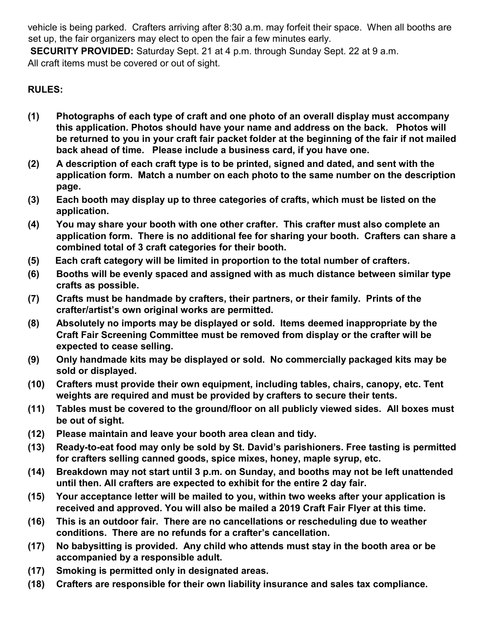vehicle is being parked. Crafters arriving after 8:30 a.m. may forfeit their space. When all booths are set up, the fair organizers may elect to open the fair a few minutes early.

**SECURITY PROVIDED:** Saturday Sept. 21 at 4 p.m. through Sunday Sept. 22 at 9 a.m. All craft items must be covered or out of sight.

# **RULES:**

- **(1) Photographs of each type of craft and one photo of an overall display must accompany this application. Photos should have your name and address on the back. Photos will be returned to you in your craft fair packet folder at the beginning of the fair if not mailed back ahead of time. Please include a business card, if you have one.**
- **(2) A description of each craft type is to be printed, signed and dated, and sent with the application form. Match a number on each photo to the same number on the description page.**
- **(3) Each booth may display up to three categories of crafts, which must be listed on the application.**
- **(4) You may share your booth with one other crafter. This crafter must also complete an application form. There is no additional fee for sharing your booth. Crafters can share a combined total of 3 craft categories for their booth.**
- **(5) Each craft category will be limited in proportion to the total number of crafters.**
- **(6) Booths will be evenly spaced and assigned with as much distance between similar type crafts as possible.**
- **(7) Crafts must be handmade by crafters, their partners, or their family. Prints of the crafter/artist's own original works are permitted.**
- **(8) Absolutely no imports may be displayed or sold. Items deemed inappropriate by the Craft Fair Screening Committee must be removed from display or the crafter will be expected to cease selling.**
- **(9) Only handmade kits may be displayed or sold. No commercially packaged kits may be sold or displayed.**
- **(10) Crafters must provide their own equipment, including tables, chairs, canopy, etc. Tent weights are required and must be provided by crafters to secure their tents.**
- **(11) Tables must be covered to the ground/floor on all publicly viewed sides. All boxes must be out of sight.**
- **(12) Please maintain and leave your booth area clean and tidy.**
- **(13) Ready-to-eat food may only be sold by St. David's parishioners. Free tasting is permitted for crafters selling canned goods, spice mixes, honey, maple syrup, etc.**
- **(14) Breakdown may not start until 3 p.m. on Sunday, and booths may not be left unattended until then. All crafters are expected to exhibit for the entire 2 day fair.**
- **(15) Your acceptance letter will be mailed to you, within two weeks after your application is received and approved. You will also be mailed a 2019 Craft Fair Flyer at this time.**
- **(16) This is an outdoor fair. There are no cancellations or rescheduling due to weather conditions. There are no refunds for a crafter's cancellation.**
- **(17) No babysitting is provided. Any child who attends must stay in the booth area or be accompanied by a responsible adult.**
- **(17) Smoking is permitted only in designated areas.**
- **(18) Crafters are responsible for their own liability insurance and sales tax compliance.**